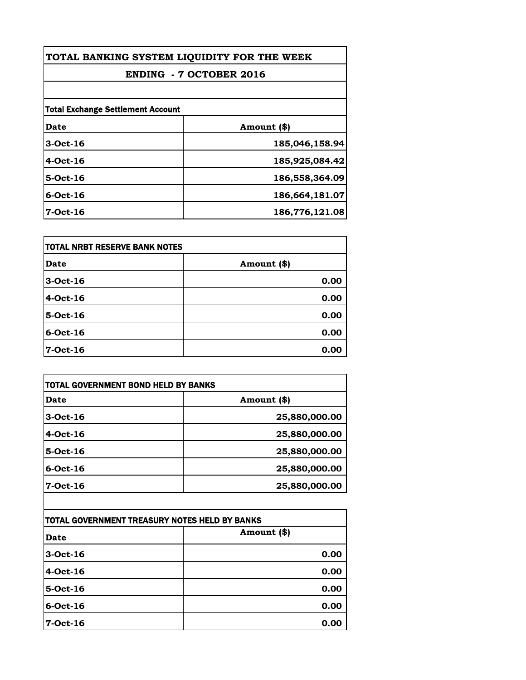| TOTAL BANKING SYSTEM LIQUIDITY FOR THE WEEK<br><b>ENDING - 7 OCTOBER 2016</b> |                |
|-------------------------------------------------------------------------------|----------------|
|                                                                               |                |
| <b>Total Exchange Settlement Account</b>                                      |                |
| Date                                                                          | Amount (\$)    |
| $3$ -Oct-16                                                                   | 185,046,158.94 |
| $4$ -Oct-16                                                                   | 185,925,084.42 |
| $5-Oct-16$                                                                    | 186,558,364.09 |
| $6$ -Oct-16                                                                   | 186,664,181.07 |
| $7-Oct-16$                                                                    | 186,776,121.08 |

| itotal NRBT RESERVE BANK NOTES |             |
|--------------------------------|-------------|
| <b>Date</b>                    | Amount (\$) |
| 3-Oct-16                       | 0.00        |
| 4-Oct-16                       | 0.00        |
| 5-Oct-16                       | 0.00        |
| $6$ -Oct-16                    | 0.00        |
| 7-Oct-16                       | 0.00        |

| TOTAL GOVERNMENT BOND HELD BY BANKS           |               |
|-----------------------------------------------|---------------|
| <b>Date</b>                                   | Amount (\$)   |
| 3-Oct-16                                      | 25,880,000.00 |
| 4-Oct-16                                      | 25,880,000.00 |
| 5-Oct-16                                      | 25,880,000.00 |
| 6-Oct-16                                      | 25,880,000.00 |
| 7-Oct-16                                      | 25,880,000.00 |
| TOTAL GOVERNMENT TREASURY NOTES HELD BY BANKS |               |
| Date                                          | Amount (\$)   |
| 3-Oct-16                                      | 0.00          |
| $4-Oct-16$                                    | 0.00          |
| 5-Oct-16                                      | 0.00          |
| 6-Oct-16                                      | 0.00          |
| $7-Oct-16$                                    | 0.00          |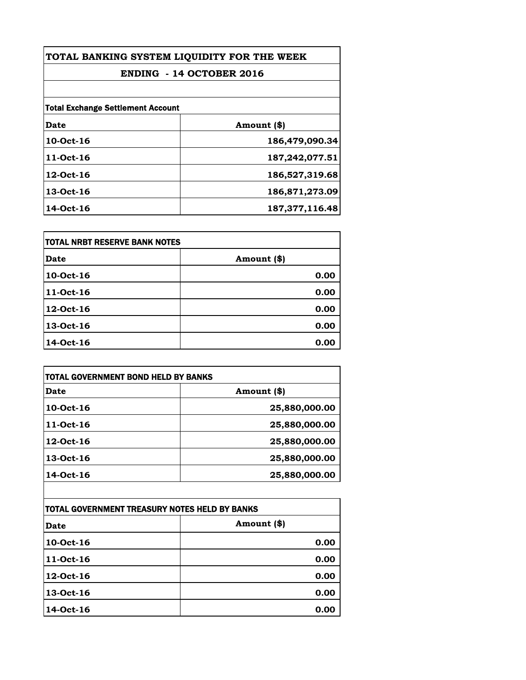| TOTAL BANKING SYSTEM LIQUIDITY FOR THE WEEK |                   |
|---------------------------------------------|-------------------|
| ENDING - 14 OCTOBER 2016                    |                   |
|                                             |                   |
| <b>Total Exchange Settlement Account</b>    |                   |
| Date                                        | Amount (\$)       |
| 10-Oct-16                                   | 186,479,090.34    |
| 11-Oct-16                                   | 187,242,077.51    |
| 12-Oct-16                                   | 186,527,319.68    |
| 13-Oct-16                                   | 186,871,273.09    |
| 14-Oct-16                                   | 187, 377, 116. 48 |

| itotal NRBT RESERVE BANK NOTES |             |
|--------------------------------|-------------|
| <b>Date</b>                    | Amount (\$) |
| 10-Oct-16                      | 0.00        |
| 11-Oct-16                      | 0.00        |
| 12-Oct-16                      | 0.00        |
| 13-Oct-16                      | 0.00        |
| 14-Oct-16                      | 0.00        |

| Date      | Amount (\$)   |
|-----------|---------------|
| 10-Oct-16 | 25,880,000.00 |
| 11-Oct-16 | 25,880,000.00 |
| 12-Oct-16 | 25,880,000.00 |
| 13-Oct-16 | 25,880,000.00 |
| 14-Oct-16 | 25,880,000.00 |

| ITOTAL GOVERNMENT TREASURY NOTES HELD BY BANKS |             |
|------------------------------------------------|-------------|
| Date                                           | Amount (\$) |
| 10-Oct-16                                      | 0.00        |
| 11-Oct-16                                      | 0.00        |
| 12-Oct-16                                      | 0.00        |
| 13-Oct-16                                      | 0.00        |
| 14-Oct-16                                      | 0.00        |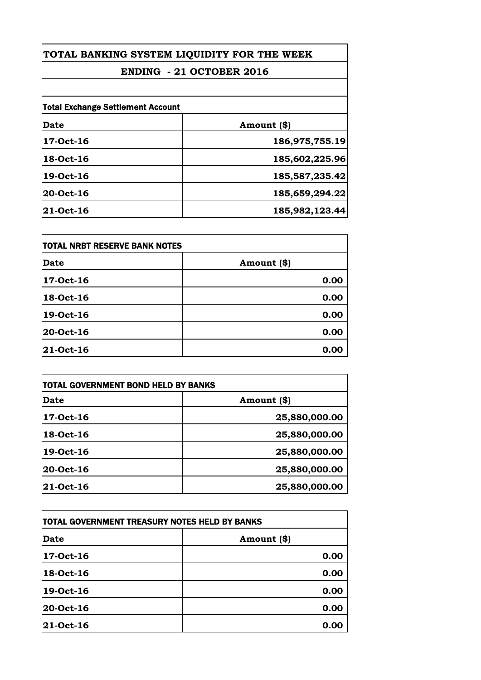## **TOTAL BANKING SYSTEM LIQUIDITY FOR THE WEEK**

## **ENDING - 21 OCTOBER 2016**

| <b>Total Exchange Settlement Account</b> |                |
|------------------------------------------|----------------|
| Date                                     | Amount (\$)    |
| 17-Oct-16                                | 186,975,755.19 |
| 18-Oct-16                                | 185,602,225.96 |
| 19-Oct-16                                | 185,587,235.42 |
| 20-Oct-16                                | 185,659,294.22 |
| 21-Oct-16                                | 185,982,123.44 |

| <b>TOTAL NRBT RESERVE BANK NOTES</b> |             |
|--------------------------------------|-------------|
| <b>Date</b>                          | Amount (\$) |
| 17-Oct-16                            | 0.00        |
| 18-Oct-16                            | 0.00        |
| 19-Oct-16                            | 0.00        |
| 20-Oct-16                            | 0.00        |
| 21-Oct-16                            | 0.00        |

| <b>TOTAL GOVERNMENT BOND HELD BY BANKS</b>    |               |
|-----------------------------------------------|---------------|
| <b>Date</b>                                   | Amount (\$)   |
| 17-Oct-16                                     | 25,880,000.00 |
| 18-Oct-16                                     | 25,880,000.00 |
| 19-Oct-16                                     | 25,880,000.00 |
| 20-Oct-16                                     | 25,880,000.00 |
| 21-Oct-16                                     | 25,880,000.00 |
|                                               |               |
| TOTAL GOVERNMENT TREASURY NOTES HELD BY BANKS |               |
| <b>Date</b>                                   | Amount (\$)   |
| 17-Oct-16                                     | 0.00          |
| 18-Oct-16                                     | 0.00          |
| 19-Oct-16                                     | 0.00          |
|                                               |               |

| 17-Oct-16        | 0.00 |
|------------------|------|
| 18-Oct-16        | 0.00 |
| 19-Oct-16        | 0.00 |
| <b>20-Oct-16</b> | 0.00 |
| <b>21-Oct-16</b> | 0.00 |